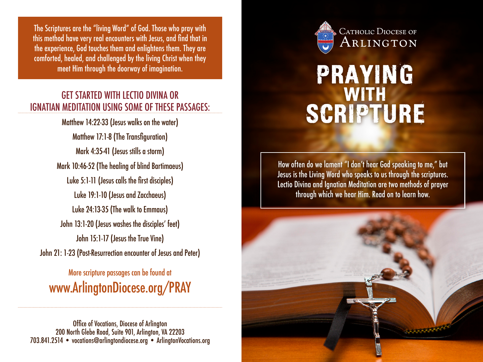The Scriptures are the "living Word" of God. Those who pray with this method have very real encounters with Jesus, and find that in the experience, God touches them and enlightens them. They are comforted, healed, and challenged by the living Christ when they meet Him through the doorway of imagination.

### GET STARTED WITH LECTIO DIVINA OR IGNATIAN MEDITATION USING SOME OF THESE PASSAGES:

Matthew 14:22-33 (Jesus walks on the water) Matthew 17:1-8 (The Transfiguration) Mark 4:35-41 (Jesus stills a storm) Mark 10:46-52 (The healing of blind Bartimaeus) Luke 5:1-11 (Jesus calls the first disciples) Luke 19:1-10 (Jesus and Zacchaeus) Luke 24:13-35 (The walk to Emmaus) John 13:1-20 (Jesus washes the disciples' feet) John 15:1-17 (Jesus the True Vine) John 21: 1-23 (Post-Resurrection encounter of Jesus and Peter)

More scripture passages can be found at www.ArlingtonDiocese.org/PRAY

Office of Vocations, Diocese of Arlington 200 North Glebe Road, Suite 901, Arlington, VA 22203 703.841.2514 • vocations@arlingtondiocese.org • ArlingtonVocations.org



# PRAYING SCRIPTURE

How often do we lament "I don't hear God speaking to me," but Jesus is the Living Word who speaks to us through the scriptures. Lectio Divina and Ignatian Meditation are two methods of prayer through which we hear Him. Read on to learn how.